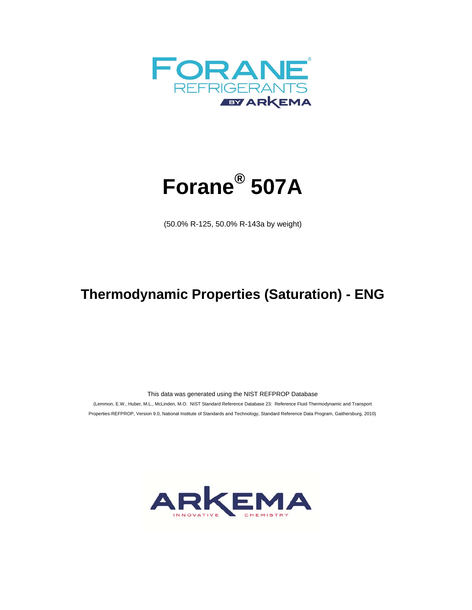



(50.0% R-125, 50.0% R-143a by weight)

## **Thermodynamic Properties (Saturation) - ENG**

This data was generated using the NIST REFPROP Database

 (Lemmon, E.W., Huber, M.L., McLinden, M.O. NIST Standard Reference Database 23: Reference Fluid Thermodynamic and Transport Properties-REFPROP, Version 9.0, National Institute of Standards and Technology, Standard Reference Data Program, Gaithersburg, 2010)

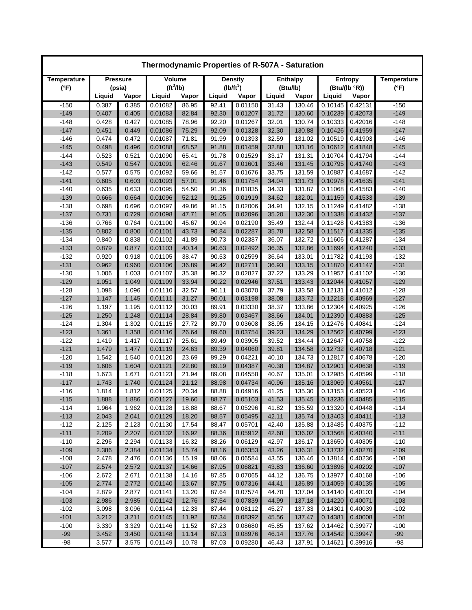| Thermodynamic Properties of R-507A - Saturation |                 |        |                       |       |        |                |                 |        |         |                |                    |  |
|-------------------------------------------------|-----------------|--------|-----------------------|-------|--------|----------------|-----------------|--------|---------|----------------|--------------------|--|
| Temperature                                     | <b>Pressure</b> |        | Volume                |       |        | <b>Density</b> | <b>Enthalpy</b> |        |         | <b>Entropy</b> | <b>Temperature</b> |  |
| $(^{\circ}F)$                                   |                 | (psia) | (tf <sup>3</sup> /lb) |       |        | $(lb/ft^3)$    | (Btu/lb)        |        |         | (Btu/(lb °R))  | $(^{\circ}F)$      |  |
|                                                 | Liquid          | Vapor  | Liquid                | Vapor | Liquid | Vapor          | Liquid          | Vapor  | Liquid  | Vapor          |                    |  |
| $-150$                                          | 0.387           | 0.385  | 0.01082               | 86.95 | 92.41  | 0.01150        | 31.43           | 130.46 | 0.10145 | 0.42131        | $-150$             |  |
| $-149$                                          | 0.407           | 0.405  | 0.01083               | 82.84 | 92.30  | 0.01207        | 31.72           | 130.60 | 0.10239 | 0.42073        | $-149$             |  |
| $-148$                                          | 0.428           | 0.427  | 0.01085               | 78.96 | 92.20  | 0.01267        | 32.01           | 130.74 | 0.10333 | 0.42016        | $-148$             |  |
| $-147$                                          | 0.451           | 0.449  | 0.01086               | 75.29 | 92.09  | 0.01328        | 32.30           | 130.88 | 0.10426 | 0.41959        | $-147$             |  |
| $-146$                                          | 0.474           | 0.472  | 0.01087               | 71.81 | 91.99  | 0.01393        | 32.59           | 131.02 | 0.10519 | 0.41903        | $-146$             |  |
| $-145$                                          | 0.498           | 0.496  | 0.01088               | 68.52 | 91.88  | 0.01459        | 32.88           | 131.16 | 0.10612 | 0.41848        | $-145$             |  |
| $-144$                                          | 0.523           | 0.521  | 0.01090               | 65.41 | 91.78  | 0.01529        | 33.17           | 131.31 | 0.10704 | 0.41794        | $-144$             |  |
| $-143$                                          | 0.549           | 0.547  | 0.01091               | 62.46 | 91.67  | 0.01601        | 33.46           | 131.45 | 0.10795 | 0.41740        | $-143$             |  |
| $-142$                                          | 0.577           | 0.575  | 0.01092               | 59.66 | 91.57  | 0.01676        | 33.75           | 131.59 | 0.10887 | 0.41687        | $-142$             |  |
| $-141$                                          | 0.605           | 0.603  | 0.01093               | 57.01 | 91.46  | 0.01754        | 34.04           | 131.73 | 0.10978 | 0.41635        | $-141$             |  |
| $-140$                                          | 0.635           | 0.633  | 0.01095               | 54.50 | 91.36  | 0.01835        | 34.33           | 131.87 | 0.11068 | 0.41583        | $-140$             |  |
| $-139$                                          | 0.666           | 0.664  | 0.01096               | 52.12 | 91.25  | 0.01919        | 34.62           | 132.01 | 0.11159 | 0.41533        | $-139$             |  |
| $-138$                                          | 0.698           | 0.696  | 0.01097               | 49.86 | 91.15  | 0.02006        | 34.91           | 132.15 | 0.11249 | 0.41482        | $-138$             |  |
| $-137$                                          | 0.731           | 0.729  | 0.01098               | 47.71 | 91.05  | 0.02096        | 35.20           | 132.30 | 0.11338 | 0.41432        | $-137$             |  |
| $-136$                                          | 0.766           | 0.764  | 0.01100               | 45.67 | 90.94  | 0.02190        | 35.49           | 132.44 | 0.11428 | 0.41383        | $-136$             |  |
| $-135$                                          | 0.802           | 0.800  | 0.01101               | 43.73 | 90.84  | 0.02287        | 35.78           | 132.58 | 0.11517 | 0.41335        | $-135$             |  |
| $-134$                                          | 0.840           | 0.838  | 0.01102               | 41.89 | 90.73  | 0.02387        | 36.07           | 132.72 | 0.11606 | 0.41287        | $-134$             |  |
| $-133$                                          | 0.879           | 0.877  | 0.01103               | 40.14 | 90.63  | 0.02492        | 36.35           | 132.86 | 0.11694 | 0.41240        | $-133$             |  |
| $-132$                                          | 0.920           | 0.918  | 0.01105               | 38.47 | 90.53  | 0.02599        | 36.64           | 133.01 | 0.11782 | 0.41193        | $-132$             |  |
| $-131$                                          | 0.962           | 0.960  | 0.01106               | 36.89 | 90.42  | 0.02711        | 36.93           | 133.15 | 0.11870 | 0.41147        | $-131$             |  |
| $-130$                                          | 1.006           | 1.003  | 0.01107               | 35.38 | 90.32  | 0.02827        | 37.22           | 133.29 | 0.11957 | 0.41102        | $-130$             |  |
| $-129$                                          | 1.051           | 1.049  | 0.01109               | 33.94 | 90.22  | 0.02946        | 37.51           | 133.43 | 0.12044 | 0.41057        | $-129$             |  |
| $-128$                                          | 1.098           | 1.096  | 0.01110               | 32.57 | 90.11  | 0.03070        | 37.79           | 133.58 | 0.12131 | 0.41012        | $-128$             |  |
| $-127$                                          | 1.147           | 1.145  | 0.01111               | 31.27 | 90.01  | 0.03198        | 38.08           | 133.72 | 0.12218 | 0.40969        | $-127$             |  |
| $-126$                                          | 1.197           | 1.195  | 0.01112               | 30.03 | 89.91  | 0.03330        | 38.37           | 133.86 | 0.12304 | 0.40925        | $-126$             |  |
| $-125$                                          | 1.250           | 1.248  | 0.01114               | 28.84 | 89.80  | 0.03467        | 38.66           | 134.01 | 0.12390 | 0.40883        | $-125$             |  |
| $-124$                                          | 1.304           | 1.302  | 0.01115               | 27.72 | 89.70  | 0.03608        | 38.95           | 134.15 | 0.12476 | 0.40841        | $-124$             |  |
| $-123$                                          | 1.361           | 1.358  | 0.01116               | 26.64 | 89.60  | 0.03754        | 39.23           | 134.29 | 0.12562 | 0.40799        | $-123$             |  |
| $-122$                                          | 1.419           | 1.417  | 0.01117               | 25.61 | 89.49  | 0.03905        | 39.52           | 134.44 | 0.12647 | 0.40758        | $-122$             |  |
| $-121$                                          | 1.479           | 1.477  | 0.01119               | 24.63 | 89.39  | 0.04060        | 39.81           | 134.58 | 0.12732 | 0.40718        | $-121$             |  |
| $-120$                                          | 1.542           | 1.540  | 0.01120               | 23.69 | 89.29  | 0.04221        | 40.10           | 134.73 | 0.12817 | 0.40678        | $-120$             |  |
| $-119$                                          | 1.606           | 1.604  | 0.01121               | 22.80 | 89.19  | 0.04387        | 40.38           | 134.87 | 0.12901 | 0.40638        | $-119$             |  |
| $-118$                                          | 1.673           | 1.671  | 0.01123               | 21.94 | 89.08  | 0.04558        | 40.67           | 135.01 | 0.12985 | 0.40599        | $-118$             |  |
| $-117$                                          | 1.743           | 1.740  | 0.01124               | 21.12 | 88.98  | 0.04734        | 40.96           | 135.16 | 0.13069 | 0.40561        | $-117$             |  |
| $-116$                                          | 1.814           | 1.812  | 0.01125               | 20.34 | 88.88  | 0.04916        | 41.25           | 135.30 | 0.13153 | 0.40523        | $-116$             |  |
| $-115$                                          | 1.888           | 1.886  | 0.01127               | 19.60 | 88.77  | 0.05103        | 41.53           | 135.45 | 0.13236 | 0.40485        | $-115$             |  |
| $-114$                                          | 1.964           | 1.962  | 0.01128               | 18.88 | 88.67  | 0.05296        | 41.82           | 135.59 | 0.13320 | 0.40448        | $-114$             |  |
| $-113$                                          | 2.043           | 2.041  | 0.01129               | 18.20 | 88.57  | 0.05495        | 42.11           | 135.74 | 0.13403 | 0.40411        | $-113$             |  |
| $-112$                                          | 2.125           | 2.123  | 0.01130               | 17.54 | 88.47  | 0.05701        | 42.40           | 135.88 | 0.13485 | 0.40375        | $-112$             |  |
| $-111$                                          | 2.209           | 2.207  | 0.01132               | 16.92 | 88.36  | 0.05912        | 42.68           | 136.02 | 0.13568 | 0.40340        | $-111$             |  |
| $-110$                                          | 2.296           | 2.294  | 0.01133               | 16.32 | 88.26  | 0.06129        | 42.97           | 136.17 | 0.13650 | 0.40305        | $-110$             |  |
| $-109$                                          | 2.386           | 2.384  | 0.01134               | 15.74 | 88.16  | 0.06353        | 43.26           | 136.31 | 0.13732 | 0.40270        | $-109$             |  |
| $-108$                                          | 2.478           | 2.476  | 0.01136               | 15.19 | 88.06  | 0.06584        | 43.55           | 136.46 | 0.13814 | 0.40236        | $-108$             |  |
| $-107$                                          | 2.574           | 2.572  | 0.01137               | 14.66 | 87.95  | 0.06821        | 43.83           | 136.60 | 0.13896 | 0.40202        | $-107$             |  |
| $-106$                                          | 2.672           | 2.671  | 0.01138               | 14.16 | 87.85  | 0.07065        | 44.12           | 136.75 | 0.13977 | 0.40168        | $-106$             |  |
| $-105$                                          | 2.774           | 2.772  | 0.01140               | 13.67 | 87.75  | 0.07316        | 44.41           | 136.89 | 0.14059 | 0.40135        | $-105$             |  |
| $-104$                                          | 2.879           | 2.877  | 0.01141               | 13.20 | 87.64  | 0.07574        | 44.70           | 137.04 | 0.14140 | 0.40103        | $-104$             |  |
| $-103$                                          | 2.986           | 2.985  | 0.01142               | 12.76 | 87.54  | 0.07839        | 44.99           | 137.18 | 0.14220 | 0.40071        | $-103$             |  |
| $-102$                                          | 3.098           | 3.096  | 0.01144               | 12.33 | 87.44  | 0.08112        | 45.27           | 137.33 | 0.14301 | 0.40039        | $-102$             |  |
| $-101$                                          | 3.212           | 3.211  | 0.01145               | 11.92 | 87.34  | 0.08392        | 45.56           | 137.47 | 0.14381 | 0.40008        | $-101$             |  |
| $-100$                                          | 3.330           | 3.329  | 0.01146               | 11.52 | 87.23  | 0.08680        | 45.85           | 137.62 | 0.14462 | 0.39977        | $-100$             |  |
| $-99$                                           | 3.452           | 3.450  | 0.01148               | 11.14 | 87.13  | 0.08976        | 46.14           | 137.76 | 0.14542 | 0.39947        | $-99$              |  |
| $-98$                                           | 3.577           | 3.575  | 0.01149               | 10.78 | 87.03  | 0.09280        | 46.43           | 137.91 | 0.14621 | 0.39916        | $-98$              |  |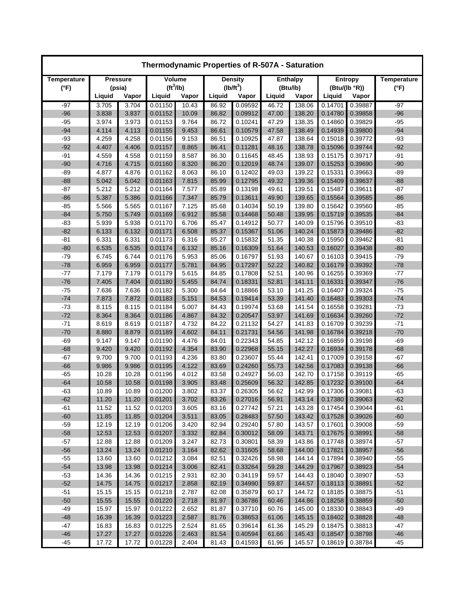| Thermodynamic Properties of R-507A - Saturation |                 |                |                       |                |                |                    |                |                  |                    |                    |                    |  |
|-------------------------------------------------|-----------------|----------------|-----------------------|----------------|----------------|--------------------|----------------|------------------|--------------------|--------------------|--------------------|--|
| Temperature                                     | <b>Pressure</b> |                | Volume                |                |                | <b>Density</b>     |                | <b>Enthalpy</b>  |                    | <b>Entropy</b>     | <b>Temperature</b> |  |
| $(^{\circ}F)$                                   |                 | (psia)         | (tf <sup>3</sup> /lb) |                |                | $(lb/ft^3)$        |                | (Btu/lb)         |                    | (Btu/(lb °R))      | $(^{\circ}F)$      |  |
|                                                 | Liquid          | Vapor          | Liquid                | Vapor          | Liquid         | Vapor              | Liquid         | Vapor            | Liquid             | Vapor              |                    |  |
| $-97$                                           | 3.705           | 3.704          | 0.01150               | 10.43          | 86.92          | 0.09592            | 46.72          | 138.06           | 0.14701            | 0.39887            | -97                |  |
| $-96$                                           | 3.838           | 3.837          | 0.01152               | 10.09          | 86.82          | 0.09912            | 47.00          | 138.20           | 0.14780            | 0.39858            | $-96$              |  |
| $-95$                                           | 3.974           | 3.973          | 0.01153               | 9.764          | 86.72          | 0.10241            | 47.29          | 138.35           | 0.14860            | 0.39829            | $-95$              |  |
| $-94$                                           | 4.114           | 4.113          | 0.01155               | 9.453          | 86.61          | 0.10579            | 47.58          | 138.49           | 0.14939            | 0.39800            | $-94$              |  |
| $-93$                                           | 4.259           | 4.258          | 0.01156               | 9.153          | 86.51          | 0.10925            | 47.87          | 138.64           | 0.15018            | 0.39772            | $-93$              |  |
| $-92$                                           | 4.407           | 4.406          | 0.01157               | 8.865          | 86.41          | 0.11281            | 48.16          | 138.78           | 0.15096            | 0.39744            | $-92$              |  |
| $-91$                                           | 4.559           | 4.558          | 0.01159               | 8.587          | 86.30          | 0.11645            | 48.45          | 138.93           | 0.15175            | 0.39717            | $-91$              |  |
| $-90$                                           | 4.716           | 4.715          | 0.01160               | 8.320          | 86.20          | 0.12019            | 48.74          | 139.07           | 0.15253            | 0.39690            | $-90$              |  |
| $-89$                                           | 4.877           | 4.876          | 0.01162               | 8.063          | 86.10          | 0.12402            | 49.03          | 139.22           | 0.15331            | 0.39663            | -89                |  |
| $-88$                                           | 5.042           | 5.042          | 0.01163               | 7.815          | 85.99          | 0.12795            | 49.32          | 139.36           | 0.15409            | 0.39637            | $-88$              |  |
| $-87$                                           | 5.212           | 5.212          | 0.01164               | 7.577          | 85.89          | 0.13198            | 49.61          | 139.51           | 0.15487            | 0.39611            | $-87$              |  |
| $-86$                                           | 5.387           | 5.386          | 0.01166               | 7.347          | 85.79          | 0.13611            | 49.90          | 139.65           | 0.15564            | 0.39585            | $-86$              |  |
| $-85$                                           | 5.566           | 5.565          | 0.01167               | 7.125          | 85.68          | 0.14034            | 50.19          | 139.80           | 0.15642            | 0.39560            | -85                |  |
| $-84$                                           | 5.750           | 5.749          | 0.01169               | 6.912          | 85.58          | 0.14468            | 50.48          | 139.95           | 0.15719            | 0.39535            | $-84$              |  |
| $-83$                                           | 5.939           | 5.938          | 0.01170               | 6.706          | 85.47          | 0.14912            | 50.77          | 140.09           | 0.15796            | 0.39510            | $-83$              |  |
| $-82$                                           | 6.133           | 6.132          | 0.01171               | 6.508          | 85.37          | 0.15367            | 51.06          | 140.24           | 0.15873            | 0.39486            | $-82$              |  |
| $-81$                                           | 6.331           | 6.331          | 0.01173               | 6.316          | 85.27          | 0.15832            | 51.35          | 140.38           | 0.15950            | 0.39462            | $-81$              |  |
| $-80$                                           | 6.535           | 6.535          | 0.01174               | 6.132          | 85.16          | 0.16309            | 51.64          | 140.53           | 0.16027            | 0.39438            | $-80$              |  |
| $-79$                                           | 6.745           | 6.744          | 0.01176               | 5.953          | 85.06          | 0.16797            | 51.93          | 140.67           | 0.16103            | 0.39415            | $-79$              |  |
| $-78$                                           | 6.959           | 6.959          | 0.01177               | 5.781          | 84.95          | 0.17297            | 52.22          | 140.82           | 0.16179            | 0.39392            | $-78$              |  |
| $-77$                                           | 7.179           | 7.179          | 0.01179               | 5.615          | 84.85          | 0.17808            | 52.51          | 140.96           | 0.16255            | 0.39369            | $-77$              |  |
| $-76$                                           | 7.405           | 7.404          | 0.01180               | 5.455          | 84.74          | 0.18331            | 52.81          | 141.11           | 0.16331            | 0.39347            | $-76$              |  |
| $-75$                                           | 7.636           | 7.636          | 0.01182               | 5.300          | 84.64          | 0.18866            | 53.10          | 141.25           | 0.16407            | 0.39324            | $-75$              |  |
| $-74$                                           | 7.873           | 7.872          | 0.01183               | 5.151          | 84.53          | 0.19414            | 53.39          | 141.40           | 0.16483            | 0.39303            | $-74$              |  |
| $-73$                                           | 8.115           | 8.115          | 0.01184               | 5.007          | 84.43          | 0.19974            | 53.68          | 141.54           | 0.16558            | 0.39281            | $-73$              |  |
| $-72$                                           | 8.364           | 8.364          | 0.01186               | 4.867          | 84.32          | 0.20547            | 53.97          | 141.69           | 0.16634            | 0.39260            | $-72$              |  |
| $-71$                                           | 8.619           | 8.619          | 0.01187               | 4.732          | 84.22          | 0.21132            | 54.27          | 141.83           | 0.16709            | 0.39239            | $-71$              |  |
| $-70$                                           | 8.880           | 8.879          | 0.01189               | 4.602          | 84.11          | 0.21731            | 54.56          | 141.98           | 0.16784            | 0.39218            | $-70$              |  |
| $-69$                                           | 9.147           | 9.147          | 0.01190               | 4.476          | 84.01          | 0.22343            | 54.85          | 142.12           | 0.16859            | 0.39198            | $-69$              |  |
| $-68$                                           | 9.420           | 9.420          | 0.01192               | 4.354          | 83.90          | 0.22968            | 55.15          | 142.27           | 0.16934            | 0.39178            | $-68$              |  |
| $-67$                                           | 9.700           | 9.700          | 0.01193               | 4.236          | 83.80          | 0.23607            | 55.44          | 142.41           | 0.17009            | 0.39158            | $-67$              |  |
| $-66$                                           | 9.986           | 9.986          | 0.01195               | 4.122          | 83.69          | 0.24260            | 55.73          | 142.56           | 0.17083            | 0.39138            | $-66$              |  |
| $-65$                                           | 10.28           | 10.28          | 0.01196               | 4.012          | 83.58          | 0.24927            | 56.03          | 142.70           | 0.17158            | 0.39119            | $-65$              |  |
| $-64$                                           | 10.58           | 10.58          | 0.01198               | 3.905          | 83.48          | 0.25609            | 56.32          | 142.85           | 0.17232            | 0.39100            | $-64$              |  |
| $-63$                                           | 10.89           | 10.89          | 0.01200               | 3.802          | 83.37          | 0.26305            | 56.62          | 142.99           | 0.17306            | 0.39081            | $-63$              |  |
| $-62$                                           | 11.20           | 11.20          | 0.01201               | 3.702          | 83.26          | 0.27016            | 56.91          | 143.14           | 0.17380            | 0.39063            | $-62$              |  |
| -61                                             | 11.52           | 11.52          | 0.01203               | 3.605          | 83.16          | 0.27742            | 57.21          | 143.28           | 0.17454            | 0.39044            | -61                |  |
| $-60$                                           | 11.85           | 11.85          | 0.01204               | 3.511          | 83.05          | 0.28483            | 57.50          | 143.42           | 0.17528            | 0.39026            | $-60$              |  |
| $-59$                                           | 12.19           | 12.19          | 0.01206               | 3.420          | 82.94          | 0.29240            | 57.80          | 143.57           | 0.17601            | 0.39008            | $-59$              |  |
| $-58$                                           | 12.53           | 12.53          | 0.01207               | 3.332          | 82.84          | 0.30012            | 58.09          | 143.71           | 0.17675            | 0.38991            | $-58$              |  |
| $-57$                                           | 12.88           | 12.88          | 0.01209               | 3.247          | 82.73          | 0.30801            | 58.39          | 143.86           | 0.17748            | 0.38974            | $-57$              |  |
| $-56$                                           | 13.24           | 13.24          | 0.01210               | 3.164          | 82.62          | 0.31605            | 58.68          | 144.00           | 0.17821            | 0.38957            | $-56$              |  |
| $-55$                                           | 13.60           | 13.60          | 0.01212               | 3.084          | 82.51          | 0.32426            | 58.98          | 144.14           | 0.17894            | 0.38940            | $-55$              |  |
| $-54$                                           | 13.98           | 13.98          | 0.01214               | 3.006          | 82.41          | 0.33264            | 59.28          | 144.29           | 0.17967            | 0.38923            | $-54$              |  |
| $-53$                                           | 14.36           | 14.36          | 0.01215               | 2.931          | 82.30          | 0.34119            | 59.57          | 144.43           | 0.18040            | 0.38907            | -53                |  |
| $-52$                                           | 14.75           | 14.75          | 0.01217               | 2.858          | 82.19          | 0.34990            | 59.87          | 144.57<br>144.72 | 0.18113<br>0.18185 | 0.38891            | $-52$              |  |
| $-51$                                           | 15.15           | 15.15          | 0.01218               | 2.787          | 82.08          | 0.35879            | 60.17          |                  |                    | 0.38875            | $-51$              |  |
| $-50$<br>$-49$                                  | 15.55           | 15.55          | 0.01220               | 2.718          | 81.97          | 0.36786            | 60.46          | 144.86           | 0.18258            | 0.38859            | $-50$              |  |
| $-48$                                           | 15.97           | 15.97<br>16.39 | 0.01222               | 2.652<br>2.587 | 81.87          | 0.37710<br>0.38653 | 60.76<br>61.06 | 145.00<br>145.15 | 0.18330<br>0.18402 | 0.38843<br>0.38828 | -49<br>$-48$       |  |
| $-47$                                           | 16.39           | 16.83          | 0.01223<br>0.01225    | 2.524          | 81.76          | 0.39614            | 61.36          | 145.29           | 0.18475            | 0.38813            | -47                |  |
| $-46$                                           | 16.83<br>17.27  | 17.27          | 0.01226               | 2.463          | 81.65<br>81.54 | 0.40594            | 61.66          | 145.43           | 0.18547            | 0.38798            | $-46$              |  |
| $-45$                                           | 17.72           | 17.72          | 0.01228               | 2.404          | 81.43          | 0.41593            | 61.96          | 145.57           | 0.18619            | 0.38784            | $-45$              |  |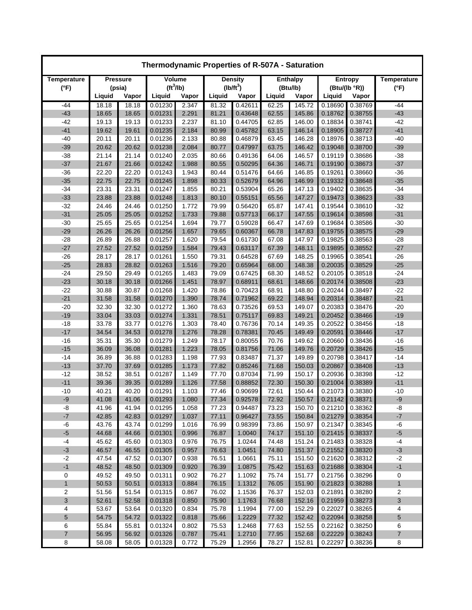| Thermodynamic Properties of R-507A - Saturation |                |                |                       |                |                |                    |                |                  |                    |                    |                    |  |
|-------------------------------------------------|----------------|----------------|-----------------------|----------------|----------------|--------------------|----------------|------------------|--------------------|--------------------|--------------------|--|
| Temperature                                     |                | Pressure       | Volume                |                |                | <b>Density</b>     |                | <b>Enthalpy</b>  |                    | <b>Entropy</b>     | <b>Temperature</b> |  |
| $(^{\circ}F)$                                   |                | (psia)         | (tf <sup>3</sup> /lb) |                | $(lb/ft^3)$    |                    | (Btu/lb)       |                  | (Btu/(lb °R))      |                    | $(^{\circ}F)$      |  |
|                                                 | Liquid         | Vapor          | Liquid                | Vapor          | Liquid         | Vapor              | Liquid         | Vapor            | Liquid             | Vapor              |                    |  |
| $-44$                                           | 18.18          | 18.18          | 0.01230               | 2.347          | 81.32          | 0.42611            | 62.25          | 145.72           | 0.18690            | 0.38769            | -44                |  |
| $-43$                                           | 18.65          | 18.65          | 0.01231               | 2.291          | 81.21          | 0.43648            | 62.55          | 145.86           | 0.18762            | 0.38755            | $-43$              |  |
| $-42$                                           | 19.13          | 19.13          | 0.01233               | 2.237          | 81.10          | 0.44705            | 62.85          | 146.00           | 0.18834            | 0.38741            | $-42$              |  |
| $-41$                                           | 19.62          | 19.61          | 0.01235               | 2.184          | 80.99          | 0.45782            | 63.15          | 146.14           | 0.18905            | 0.38727            | $-41$              |  |
| $-40$                                           | 20.11          | 20.11          | 0.01236               | 2.133          | 80.88          | 0.46879            | 63.45          | 146.28           | 0.18976            | 0.38713            | $-40$              |  |
| $-39$                                           | 20.62          | 20.62          | 0.01238               | 2.084          | 80.77          | 0.47997            | 63.75          | 146.42           | 0.19048            | 0.38700            | $-39$              |  |
| $-38$                                           | 21.14          | 21.14          | 0.01240               | 2.035          | 80.66          | 0.49136            | 64.06          | 146.57           | 0.19119            | 0.38686            | $-38$              |  |
| $-37$                                           | 21.67          | 21.66          | 0.01242               | 1.988          | 80.55          | 0.50295<br>0.51476 | 64.36          | 146.71           | 0.19190            | 0.38673            | $-37$              |  |
| $-36$<br>$-35$                                  | 22.20<br>22.75 | 22.20<br>22.75 | 0.01243<br>0.01245    | 1.943<br>1.898 | 80.44<br>80.33 | 0.52679            | 64.66<br>64.96 | 146.85<br>146.99 | 0.19261<br>0.19332 | 0.38660<br>0.38648 | $-36$<br>$-35$     |  |
| $-34$                                           | 23.31          | 23.31          | 0.01247               | 1.855          | 80.21          | 0.53904            | 65.26          | 147.13           | 0.19402            | 0.38635            | $-34$              |  |
| $-33$                                           | 23.88          | 23.88          | 0.01248               | 1.813          | 80.10          | 0.55151            | 65.56          | 147.27           | 0.19473            | 0.38623            | $-33$              |  |
| $-32$                                           | 24.46          | 24.46          | 0.01250               | 1.772          | 79.99          | 0.56420            | 65.87          | 147.41           | 0.19544            | 0.38610            | $-32$              |  |
| $-31$                                           | 25.05          | 25.05          | 0.01252               | 1.733          | 79.88          | 0.57713            | 66.17          | 147.55           | 0.19614            | 0.38598            | $-31$              |  |
| $-30$                                           | 25.65          | 25.65          | 0.01254               | 1.694          | 79.77          | 0.59028            | 66.47          | 147.69           | 0.19684            | 0.38586            | $-30$              |  |
| $-29$                                           | 26.26          | 26.26          | 0.01256               | 1.657          | 79.65          | 0.60367            | 66.78          | 147.83           | 0.19755            | 0.38575            | $-29$              |  |
| $-28$                                           | 26.89          | 26.88          | 0.01257               | 1.620          | 79.54          | 0.61730            | 67.08          | 147.97           | 0.19825            | 0.38563            | $-28$              |  |
| $-27$                                           | 27.52          | 27.52          | 0.01259               | 1.584          | 79.43          | 0.63117            | 67.39          | 148.11           | 0.19895            | 0.38552            | $-27$              |  |
| $-26$                                           | 28.17          | 28.17          | 0.01261               | 1.550          | 79.31          | 0.64528            | 67.69          | 148.25           | 0.19965            | 0.38541            | $-26$              |  |
| $-25$                                           | 28.83          | 28.82          | 0.01263               | 1.516          | 79.20          | 0.65964            | 68.00          | 148.38           | 0.20035            | 0.38529            | $-25$              |  |
| $-24$                                           | 29.50          | 29.49          | 0.01265               | 1.483          | 79.09          | 0.67425            | 68.30          | 148.52           | 0.20105            | 0.38518            | $-24$              |  |
| $-23$                                           | 30.18          | 30.18          | 0.01266               | 1.451          | 78.97          | 0.68911            | 68.61          | 148.66           | 0.20174            | 0.38508            | $-23$              |  |
| $-22$                                           | 30.88          | 30.87          | 0.01268               | 1.420          | 78.86          | 0.70423            | 68.91          | 148.80           | 0.20244            | 0.38497            | $-22$              |  |
| $-21$                                           | 31.58          | 31.58          | 0.01270               | 1.390          | 78.74          | 0.71962            | 69.22          | 148.94           | 0.20314            | 0.38487            | $-21$              |  |
| $-20$                                           | 32.30          | 32.30          | 0.01272               | 1.360          | 78.63          | 0.73526            | 69.53          | 149.07           | 0.20383            | 0.38476            | $-20$              |  |
| $-19$                                           | 33.04          | 33.03          | 0.01274               | 1.331          | 78.51          | 0.75117            | 69.83          | 149.21           | 0.20452            | 0.38466            | $-19$              |  |
| $-18$                                           | 33.78          | 33.77          | 0.01276               | 1.303          | 78.40          | 0.76736            | 70.14          | 149.35           | 0.20522            | 0.38456            | $-18$              |  |
| $-17$                                           | 34.54          | 34.53          | 0.01278               | 1.276          | 78.28          | 0.78381            | 70.45          | 149.49           | 0.20591            | 0.38446            | $-17$              |  |
| $-16$                                           | 35.31          | 35.30          | 0.01279               | 1.249          | 78.17          | 0.80055            | 70.76          | 149.62           | 0.20660            | 0.38436            | $-16$              |  |
| $-15$                                           | 36.09          | 36.08          | 0.01281               | 1.223          | 78.05          | 0.81756            | 71.06          | 149.76           | 0.20729            | 0.38426            | $-15$              |  |
| $-14$                                           | 36.89          | 36.88          | 0.01283               | 1.198          | 77.93          | 0.83487            | 71.37          | 149.89           | 0.20798            | 0.38417            | $-14$              |  |
| $-13$                                           | 37.70          | 37.69          | 0.01285               | 1.173          | 77.82          | 0.85246            | 71.68          | 150.03           | 0.20867            | 0.38408            | $-13$              |  |
| $-12$                                           | 38.52          | 38.51          | 0.01287               | 1.149          | 77.70          | 0.87034            | 71.99          | 150.17           | 0.20936            | 0.38398            | $-12$              |  |
| $-11$                                           | 39.36          | 39.35          | 0.01289               | 1.126          | 77.58          | 0.88852            | 72.30          | 150.30           | 0.21004            | 0.38389            | $-11$              |  |
| $-10$                                           | 40.21          | 40.20          | 0.01291               | 1.103          | 77.46          | 0.90699            | 72.61          | 150.44           | 0.21073            | 0.38380            | $-10$              |  |
| -9                                              | 41.08          | 41.06          | 0.01293               | 1.080          | 77.34          | 0.92578            | 72.92          | 150.57           | 0.21142            | 0.38371            | -9                 |  |
| -8                                              | 41.96          | 41.94          | 0.01295               | 1.058          | 77.23          | 0.94487            | 73.23          | 150.70           | 0.21210            | 0.38362            | -8                 |  |
| $\textnormal{-}7$                               | 42.85          | 42.83          | 0.01297               | 1.037          | 77.11          | 0.96427            | 73.55          | 150.84           | 0.21279            | 0.38354            | $-7$               |  |
| -6                                              | 43.76          | 43.74          | 0.01299               | 1.016          | 76.99          | 0.98399            | 73.86          | 150.97           | 0.21347            | 0.38345            | -6                 |  |
| $-5$                                            | 44.68          | 44.66          | 0.01301               | 0.996          | 76.87          | 1.0040             | 74.17          | 151.10           | 0.21415            | 0.38337            | $-5$               |  |
| $-4$                                            | 45.62          | 45.60          | 0.01303               | 0.976          | 76.75          | 1.0244             | 74.48          | 151.24           | 0.21483            | 0.38328            | $-4$               |  |
| $-3$                                            | 46.57          | 46.55          | 0.01305               | 0.957          | 76.63          | 1.0451             | 74.80          | 151.37           | 0.21552            | 0.38320            | $-3$               |  |
| $-2$                                            | 47.54          | 47.52          | 0.01307               | 0.938          | 76.51          | 1.0661             | 75.11          | 151.50           | 0.21620            | 0.38312            | $-2$               |  |
| $-1$                                            | 48.52          | 48.50          | 0.01309               | 0.920          | 76.39          | 1.0875             | 75.42          | 151.63           | 0.21688            | 0.38304            | $-1$               |  |
| 0                                               | 49.52          | 49.50          | 0.01311               | 0.902          | 76.27          | 1.1092             | 75.74          | 151.77           | 0.21756            | 0.38296            | 0                  |  |
| $\mathbf{1}$                                    | 50.53          | 50.51          | 0.01313               | 0.884          | 76.15          | 1.1312             | 76.05          | 151.90           | 0.21823            | 0.38288            | $\mathbf{1}$       |  |
| 2                                               | 51.56          | 51.54          | 0.01315               | 0.867          | 76.02          | 1.1536             | 76.37          | 152.03           | 0.21891            | 0.38280            | 2                  |  |
| 3                                               | 52.61          | 52.58          | 0.01318               | 0.850          | 75.90          | 1.1763             | 76.68          | 152.16           | 0.21959            | 0.38273            | 3                  |  |
| 4                                               | 53.67          | 53.64          | 0.01320               | 0.834          | 75.78          | 1.1994             | 77.00          | 152.29           | 0.22027            | 0.38265            | 4                  |  |
| 5                                               | 54.75          | 54.72          | 0.01322               | 0.818          | 75.66          | 1.2229             | 77.32          | 152.42           | 0.22094            | 0.38258            | 5                  |  |
| 6                                               | 55.84          | 55.81          | 0.01324               | 0.802          | 75.53          | 1.2468             | 77.63          | 152.55           | 0.22162            | 0.38250            | 6                  |  |
| $\overline{\mathbf{7}}$                         | 56.95          | 56.92          | 0.01326               | 0.787          | 75.41          | 1.2710             | 77.95          | 152.68           | 0.22229            | 0.38243            | $\boldsymbol{7}$   |  |
| 8                                               | 58.08          | 58.05          | 0.01328               | 0.772          | 75.29          | 1.2956             | 78.27          | 152.81           | 0.22297            | 0.38236            | 8                  |  |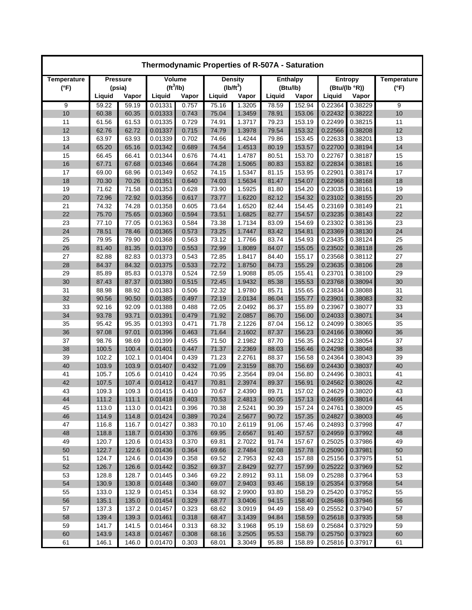| Thermodynamic Properties of R-507A - Saturation |                |                |                       |                |                |                  |                |                  |                    |                    |                    |  |
|-------------------------------------------------|----------------|----------------|-----------------------|----------------|----------------|------------------|----------------|------------------|--------------------|--------------------|--------------------|--|
| Temperature                                     |                | Pressure       | Volume                |                |                | <b>Density</b>   |                | <b>Enthalpy</b>  |                    | Entropy            | <b>Temperature</b> |  |
| $(^{\circ}F)$                                   |                | (psia)         | (tf <sup>3</sup> /lb) |                |                | $(lb/ft^3)$      | (Btu/lb)       |                  | (Btu/(lb °R))      |                    | $(^{\circ}F)$      |  |
|                                                 | Liquid         | Vapor          | Liquid                | Vapor          | Liquid         | Vapor            | Liquid         | Vapor            | Liquid             | Vapor              |                    |  |
| 9                                               | 59.22          | 59.19          | 0.01331               | 0.757          | 75.16          | 1.3205           | 78.59          | 152.94           | 0.22364            | 0.38229            | 9                  |  |
| 10                                              | 60.38          | 60.35          | 0.01333               | 0.743          | 75.04          | 1.3459           | 78.91          | 153.06           | 0.22432            | 0.38222            | 10                 |  |
| 11                                              | 61.56          | 61.53          | 0.01335               | 0.729          | 74.91          | 1.3717           | 79.23          | 153.19           | 0.22499            | 0.38215            | 11                 |  |
| 12                                              | 62.76          | 62.72          | 0.01337               | 0.715          | 74.79          | 1.3978<br>1.4244 | 79.54          | 153.32<br>153.45 | 0.22566            | 0.38208            | 12                 |  |
| 13<br>14                                        | 63.97<br>65.20 | 63.93<br>65.16 | 0.01339<br>0.01342    | 0.702<br>0.689 | 74.66<br>74.54 | 1.4513           | 79.86<br>80.19 | 153.57           | 0.22633<br>0.22700 | 0.38201<br>0.38194 | 13<br>14           |  |
| 15                                              | 66.45          | 66.41          | 0.01344               | 0.676          | 74.41          | 1.4787           | 80.51          | 153.70           | 0.22767            | 0.38187            | 15                 |  |
| 16                                              | 67.71          | 67.68          | 0.01346               | 0.664          | 74.28          | 1.5065           | 80.83          | 153.82           | 0.22834            | 0.38181            | 16                 |  |
| 17                                              | 69.00          | 68.96          | 0.01349               | 0.652          | 74.15          | 1.5347           | 81.15          | 153.95           | 0.22901            | 0.38174            | 17                 |  |
| 18                                              | 70.30          | 70.26          | 0.01351               | 0.640          | 74.03          | 1.5634           | 81.47          | 154.07           | 0.22968            | 0.38168            | 18                 |  |
| 19                                              | 71.62          | 71.58          | 0.01353               | 0.628          | 73.90          | 1.5925           | 81.80          | 154.20           | 0.23035            | 0.38161            | 19                 |  |
| 20                                              | 72.96          | 72.92          | 0.01356               | 0.617          | 73.77          | 1.6220           | 82.12          | 154.32           | 0.23102            | 0.38155            | 20                 |  |
| 21                                              | 74.32          | 74.28          | 0.01358               | 0.605          | 73.64          | 1.6520           | 82.44          | 154.45           | 0.23169            | 0.38149            | 21                 |  |
| 22                                              | 75.70          | 75.65          | 0.01360               | 0.594          | 73.51          | 1.6825           | 82.77          | 154.57           | 0.23235            | 0.38143            | 22                 |  |
| 23                                              | 77.10          | 77.05          | 0.01363               | 0.584          | 73.38          | 1.7134           | 83.09          | 154.69           | 0.23302            | 0.38136            | 23                 |  |
| 24                                              | 78.51          | 78.46          | 0.01365               | 0.573          | 73.25          | 1.7447           | 83.42          | 154.81           | 0.23369            | 0.38130            | 24                 |  |
| 25                                              | 79.95          | 79.90          | 0.01368               | 0.563          | 73.12          | 1.7766           | 83.74          | 154.93           | 0.23435            | 0.38124            | 25                 |  |
| 26                                              | 81.40          | 81.35          | 0.01370               | 0.553          | 72.99          | 1.8089           | 84.07          | 155.05           | 0.23502            | 0.38118            | 26                 |  |
| 27                                              | 82.88          | 82.83          | 0.01373               | 0.543          | 72.85          | 1.8417           | 84.40          | 155.17           | 0.23568            | 0.38112            | 27                 |  |
| 28                                              | 84.37          | 84.32          | 0.01375               | 0.533          | 72.72          | 1.8750           | 84.73          | 155.29           | 0.23635            | 0.38106            | 28                 |  |
| 29                                              | 85.89          | 85.83          | 0.01378               | 0.524          | 72.59          | 1.9088           | 85.05          | 155.41           | 0.23701            | 0.38100            | 29                 |  |
| 30                                              | 87.43          | 87.37          | 0.01380               | 0.515          | 72.45          | 1.9432           | 85.38          | 155.53           | 0.23768            | 0.38094            | 30                 |  |
| 31                                              | 88.98          | 88.92          | 0.01383               | 0.506          | 72.32          | 1.9780           | 85.71          | 155.65           | 0.23834            | 0.38088            | 31                 |  |
| 32                                              | 90.56          | 90.50          | 0.01385               | 0.497          | 72.19          | 2.0134           | 86.04          | 155.77           | 0.23901            | 0.38083            | 32                 |  |
| 33                                              | 92.16          | 92.09          | 0.01388               | 0.488          | 72.05          | 2.0492           | 86.37          | 155.89           | 0.23967            | 0.38077            | 33                 |  |
| 34                                              | 93.78          | 93.71          | 0.01391               | 0.479          | 71.92          | 2.0857           | 86.70          | 156.00           | 0.24033            | 0.38071            | 34                 |  |
| 35                                              | 95.42          | 95.35          | 0.01393               | 0.471          | 71.78          | 2.1226           | 87.04          | 156.12           | 0.24099            | 0.38065            | 35                 |  |
| 36                                              | 97.08          | 97.01          | 0.01396               | 0.463          | 71.64          | 2.1602           | 87.37          | 156.23           | 0.24166            | 0.38060            | 36                 |  |
| 37                                              | 98.76          | 98.69          | 0.01399               | 0.455          | 71.50          | 2.1982           | 87.70          | 156.35           | 0.24232            | 0.38054            | 37                 |  |
| 38                                              | 100.5          | 100.4          | 0.01401               | 0.447          | 71.37          | 2.2369           | 88.03          | 156.46           | 0.24298            | 0.38048            | 38                 |  |
| 39                                              | 102.2          | 102.1          | 0.01404               | 0.439          | 71.23          | 2.2761           | 88.37          | 156.58           | 0.24364            | 0.38043            | 39                 |  |
| 40                                              | 103.9          | 103.9          | 0.01407               | 0.432          | 71.09          | 2.3159           | 88.70          | 156.69           | 0.24430            | 0.38037            | 40                 |  |
| 41                                              | 105.7          | 105.6          | 0.01410               | 0.424          | 70.95          | 2.3564           | 89.04          | 156.80           | 0.24496            | 0.38031            | 41<br>42           |  |
| 42<br>43                                        | 107.5<br>109.3 | 107.4<br>109.3 | 0.01412<br>0.01415    | 0.417<br>0.410 | 70.81<br>70.67 | 2.3974<br>2.4390 | 89.37<br>89.71 | 156.91<br>157.02 | 0.24562<br>0.24629 | 0.38026<br>0.38020 | 43                 |  |
| 44                                              | 111.2          | 111.1          | 0.01418               | 0.403          | 70.53          | 2.4813           | 90.05          | 157.13           | 0.24695            | 0.38014            | 44                 |  |
| 45                                              | 113.0          | 113.0          | 0.01421               | 0.396          | 70.38          | 2.5241           | 90.39          | 157.24           | 0.24761            | 0.38009            | 45                 |  |
| 46                                              | 114.9          | 114.8          | 0.01424               | 0.389          | 70.24          | 2.5677           | 90.72          | 157.35           | 0.24827            | 0.38003            | 46                 |  |
| 47                                              | 116.8          | 116.7          | 0.01427               | 0.383          | 70.10          | 2.6119           | 91.06          | 157.46           | 0.24893            | 0.37998            | 47                 |  |
| 48                                              | 118.8          | 118.7          | 0.01430               | 0.376          | 69.95          | 2.6567           | 91.40          | 157.57           | 0.24959            | 0.37992            | 48                 |  |
| 49                                              | 120.7          | 120.6          | 0.01433               | 0.370          | 69.81          | 2.7022           | 91.74          | 157.67           | 0.25025            | 0.37986            | 49                 |  |
| 50                                              | 122.7          | 122.6          | 0.01436               | 0.364          | 69.66          | 2.7484           | 92.08          | 157.78           | 0.25090            | 0.37981            | 50                 |  |
| 51                                              | 124.7          | 124.6          | 0.01439               | 0.358          | 69.52          | 2.7953           | 92.43          | 157.88           | 0.25156            | 0.37975            | 51                 |  |
| 52                                              | 126.7          | 126.6          | 0.01442               | 0.352          | 69.37          | 2.8429           | 92.77          | 157.99           | 0.25222            | 0.37969            | 52                 |  |
| 53                                              | 128.8          | 128.7          | 0.01445               | 0.346          | 69.22          | 2.8912           | 93.11          | 158.09           | 0.25288            | 0.37964            | 53                 |  |
| 54                                              | 130.9          | 130.8          | 0.01448               | 0.340          | 69.07          | 2.9403           | 93.46          | 158.19           | 0.25354            | 0.37958            | 54                 |  |
| 55                                              | 133.0          | 132.9          | 0.01451               | 0.334          | 68.92          | 2.9900           | 93.80          | 158.29           | 0.25420            | 0.37952            | 55                 |  |
| 56                                              | 135.1          | 135.0          | 0.01454               | 0.329          | 68.77          | 3.0406           | 94.15          | 158.40           | 0.25486            | 0.37946            | 56                 |  |
| 57                                              | 137.3          | 137.2          | 0.01457               | 0.323          | 68.62          | 3.0919           | 94.49          | 158.49           | 0.25552            | 0.37940            | 57                 |  |
| 58                                              | 139.4          | 139.3          | 0.01461               | 0.318          | 68.47          | 3.1439           | 94.84          | 158.59           | 0.25618            | 0.37935            | 58                 |  |
| 59                                              | 141.7          | 141.5          | 0.01464               | 0.313          | 68.32          | 3.1968           | 95.19          | 158.69           | 0.25684            | 0.37929            | 59                 |  |
| 60                                              | 143.9          | 143.8          | 0.01467               | 0.308          | 68.16          | 3.2505           | 95.53          | 158.79           | 0.25750            | 0.37923            | 60                 |  |
| 61                                              | 146.1          | 146.0          | 0.01470               | 0.303          | 68.01          | 3.3049           | 95.88          | 158.89           | 0.25816            | 0.37917            | 61                 |  |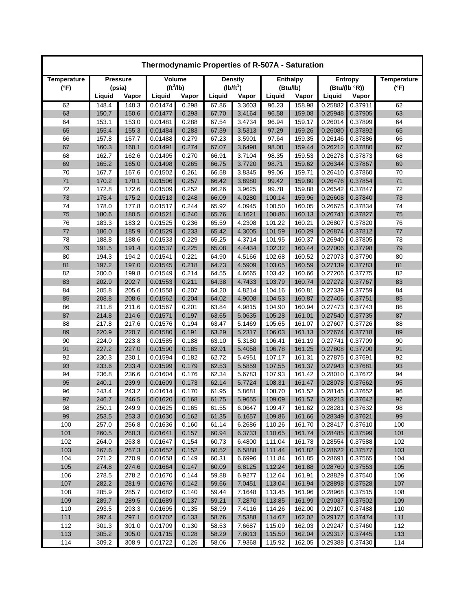| Thermodynamic Properties of R-507A - Saturation |                |                 |                       |                |                |                  |                  |                  |                    |                    |                    |  |
|-------------------------------------------------|----------------|-----------------|-----------------------|----------------|----------------|------------------|------------------|------------------|--------------------|--------------------|--------------------|--|
| Temperature                                     |                | <b>Pressure</b> | Volume                |                |                | <b>Density</b>   |                  | <b>Enthalpy</b>  |                    | <b>Entropy</b>     | <b>Temperature</b> |  |
| $(^{\circ}F)$                                   |                | (psia)          | (tf <sup>3</sup> /lb) |                |                | $(lb/ft^3)$      | (Btu/lb)         |                  | (Btu/(lb °R))      |                    | $(^{\circ}F)$      |  |
|                                                 | Liquid         | Vapor           | Liquid                | Vapor          | Liquid         | Vapor            | Liquid           | Vapor            | Liquid             | Vapor              |                    |  |
| 62                                              | 148.4          | 148.3           | 0.01474               | 0.298          | 67.86          | 3.3603           | 96.23            | 158.98           | 0.25882            | 0.37911            | 62                 |  |
| 63                                              | 150.7          | 150.6           | 0.01477               | 0.293          | 67.70          | 3.4164           | 96.58            | 159.08           | 0.25948            | 0.37905            | 63                 |  |
| 64                                              | 153.1          | 153.0           | 0.01481               | 0.288          | 67.54          | 3.4734           | 96.94            | 159.17           | 0.26014            | 0.37899            | 64                 |  |
| 65                                              | 155.4          | 155.3           | 0.01484               | 0.283          | 67.39          | 3.5313           | 97.29            | 159.26           | 0.26080            | 0.37892            | 65                 |  |
| 66                                              | 157.8          | 157.7           | 0.01488               | 0.279          | 67.23          | 3.5901           | 97.64            | 159.35           | 0.26146            | 0.37886            | 66                 |  |
| 67                                              | 160.3          | 160.1           | 0.01491               | 0.274          | 67.07          | 3.6498           | 98.00            | 159.44           | 0.26212            | 0.37880            | 67                 |  |
| 68                                              | 162.7          | 162.6           | 0.01495               | 0.270          | 66.91          | 3.7104           | 98.35            | 159.53           | 0.26278            | 0.37873            | 68                 |  |
| 69                                              | 165.2          | 165.0           | 0.01498               | 0.265          | 66.75          | 3.7720           | 98.71            | 159.62           | 0.26344            | 0.37867            | 69<br>70           |  |
| 70<br>71                                        | 167.7<br>170.2 | 167.6<br>170.1  | 0.01502<br>0.01506    | 0.261<br>0.257 | 66.58<br>66.42 | 3.8345<br>3.8980 | 99.06<br>99.42   | 159.71<br>159.80 | 0.26410<br>0.26476 | 0.37860<br>0.37854 | 71                 |  |
| 72                                              | 172.8          | 172.6           | 0.01509               | 0.252          | 66.26          | 3.9625           | 99.78            | 159.88           | 0.26542            | 0.37847            | 72                 |  |
| 73                                              | 175.4          | 175.2           | 0.01513               | 0.248          | 66.09          | 4.0280           | 100.14           | 159.96           | 0.26608            | 0.37840            | 73                 |  |
| 74                                              | 178.0          | 177.8           | 0.01517               | 0.244          | 65.92          | 4.0945           | 100.50           | 160.05           | 0.26675            | 0.37834            | 74                 |  |
| 75                                              | 180.6          | 180.5           | 0.01521               | 0.240          | 65.76          | 4.1621           | 100.86           | 160.13           | 0.26741            | 0.37827            | 75                 |  |
| 76                                              | 183.3          | 183.2           | 0.01525               | 0.236          | 65.59          | 4.2308           | 101.22           | 160.21           | 0.26807            | 0.37820            | 76                 |  |
| 77                                              | 186.0          | 185.9           | 0.01529               | 0.233          | 65.42          | 4.3005           | 101.59           | 160.29           | 0.26874            | 0.37812            | 77                 |  |
| 78                                              | 188.8          | 188.6           | 0.01533               | 0.229          | 65.25          | 4.3714           | 101.95           | 160.37           | 0.26940            | 0.37805            | 78                 |  |
| 79                                              | 191.5          | 191.4           | 0.01537               | 0.225          | 65.08          | 4.4434           | 102.32           | 160.44           | 0.27006            | 0.37798            | 79                 |  |
| 80                                              | 194.3          | 194.2           | 0.01541               | 0.221          | 64.90          | 4.5166           | 102.68           | 160.52           | 0.27073            | 0.37790            | 80                 |  |
| 81                                              | 197.2          | 197.0           | 0.01545               | 0.218          | 64.73          | 4.5909           | 103.05           | 160.59           | 0.27139            | 0.37783            | 81                 |  |
| 82                                              | 200.0          | 199.8           | 0.01549               | 0.214          | 64.55          | 4.6665           | 103.42           | 160.66           | 0.27206            | 0.37775            | 82                 |  |
| 83                                              | 202.9          | 202.7           | 0.01553               | 0.211          | 64.38          | 4.7433           | 103.79           | 160.74           | 0.27272            | 0.37767            | 83                 |  |
| 84                                              | 205.8          | 205.6           | 0.01558               | 0.207          | 64.20          | 4.8214           | 104.16           | 160.81           | 0.27339            | 0.37759            | 84                 |  |
| 85                                              | 208.8          | 208.6           | 0.01562               | 0.204          | 64.02          | 4.9008           | 104.53           | 160.87           | 0.27406            | 0.37751            | 85                 |  |
| 86                                              | 211.8          | 211.6           | 0.01567               | 0.201          | 63.84          | 4.9815           | 104.90           | 160.94           | 0.27473            | 0.37743            | 86                 |  |
| 87                                              | 214.8          | 214.6           | 0.01571               | 0.197          | 63.65          | 5.0635           | 105.28           | 161.01           | 0.27540            | 0.37735            | 87                 |  |
| 88                                              | 217.8          | 217.6           | 0.01576               | 0.194          | 63.47          | 5.1469           | 105.65           | 161.07           | 0.27607            | 0.37726            | 88                 |  |
| 89                                              | 220.9          | 220.7           | 0.01580               | 0.191          | 63.29          | 5.2317           | 106.03           | 161.13           | 0.27674            | 0.37718            | 89                 |  |
| 90                                              | 224.0          | 223.8           | 0.01585               | 0.188          | 63.10          | 5.3180           | 106.41           | 161.19           | 0.27741            | 0.37709            | 90                 |  |
| 91                                              | 227.2          | 227.0           | 0.01590               | 0.185          | 62.91          | 5.4058           | 106.78           | 161.25           | 0.27808            | 0.37700            | 91                 |  |
| 92                                              | 230.3          | 230.1           | 0.01594               | 0.182          | 62.72          | 5.4951           | 107.17           | 161.31           | 0.27875            | 0.37691            | 92                 |  |
| 93                                              | 233.6          | 233.4           | 0.01599               | 0.179          | 62.53          | 5.5859           | 107.55           | 161.37           | 0.27943            | 0.37681            | 93                 |  |
| 94                                              | 236.8          | 236.6           | 0.01604               | 0.176          | 62.34          | 5.6783           | 107.93           | 161.42           | 0.28010            | 0.37672            | 94                 |  |
| 95                                              | 240.1          | 239.9           | 0.01609               | 0.173          | 62.14          | 5.7724           | 108.31           | 161.47           | 0.28078            | 0.37662            | 95                 |  |
| 96                                              | 243.4          | 243.2           | 0.01614               | 0.170          | 61.95          | 5.8681           | 108.70           | 161.52           | 0.28145            | 0.37652            | 96                 |  |
| 97                                              | 246.7          | 246.5           | 0.01620               | 0.168          | 61.75          | 5.9655           | 109.09           | 161.57           | 0.28213            | 0.37642            | 97                 |  |
| 98                                              | 250.1          | 249.9           | 0.01625               | 0.165          | 61.55          | 6.0647           | 109.47           | 161.62           | 0.28281            | 0.37632            | 98                 |  |
| 99                                              | 253.5          | 253.3           | 0.01630               | 0.162          | 61.35          | 6.1657           | 109.86           | 161.66           | 0.28349            | 0.37621            | 99                 |  |
| 100                                             | 257.0          | 256.8           | 0.01636               | 0.160          | 61.14          | 6.2686           | 110.26           | 161.70           | 0.28417            | 0.37610            | 100                |  |
| 101                                             | 260.5          | 260.3           | 0.01641               | 0.157          | 60.94          | 6.3733           | 110.65           | 161.74           | 0.28485            | 0.37599            | 101                |  |
| 102                                             | 264.0          | 263.8           | 0.01647               | 0.154          | 60.73          | 6.4800           | 111.04           | 161.78           | 0.28554            | 0.37588            | 102                |  |
| 103<br>104                                      | 267.6<br>271.2 | 267.3<br>270.9  | 0.01652<br>0.01658    | 0.152<br>0.149 | 60.52          | 6.5888           | 111.44<br>111.84 | 161.82<br>161.85 | 0.28622<br>0.28691 | 0.37577            | 103<br>104         |  |
| 105                                             | 274.8          | 274.6           | 0.01664               | 0.147          | 60.31<br>60.09 | 6.6996<br>6.8125 | 112.24           | 161.88           | 0.28760            | 0.37565<br>0.37553 | 105                |  |
| 106                                             | 278.5          | 278.2           | 0.01670               | 0.144          | 59.88          | 6.9277           | 112.64           | 161.91           | 0.28829            | 0.37540            | 106                |  |
| 107                                             | 282.2          | 281.9           | 0.01676               | 0.142          | 59.66          | 7.0451           | 113.04           | 161.94           | 0.28898            | 0.37528            | 107                |  |
| 108                                             | 285.9          | 285.7           | 0.01682               | 0.140          | 59.44          | 7.1648           | 113.45           | 161.96           | 0.28968            | 0.37515            | 108                |  |
| 109                                             | 289.7          | 289.5           | 0.01689               | 0.137          | 59.21          | 7.2870           | 113.85           | 161.99           | 0.29037            | 0.37502            | 109                |  |
| 110                                             | 293.5          | 293.3           | 0.01695               | 0.135          | 58.99          | 7.4116           | 114.26           | 162.00           | 0.29107            | 0.37488            | 110                |  |
| 111                                             | 297.4          | 297.1           | 0.01702               | 0.133          | 58.76          | 7.5388           | 114.67           | 162.02           | 0.29177            | 0.37474            | 111                |  |
| 112                                             | 301.3          | 301.0           | 0.01709               | 0.130          | 58.53          | 7.6687           | 115.09           | 162.03           | 0.29247            | 0.37460            | 112                |  |
| 113                                             | 305.2          | 305.0           | 0.01715               | 0.128          | 58.29          | 7.8013           | 115.50           | 162.04           | 0.29317            | 0.37445            | 113                |  |
| 114                                             | 309.2          | 308.9           | 0.01722               | 0.126          | 58.06          | 7.9368           | 115.92           | 162.05           | 0.29388            | 0.37430            | 114                |  |